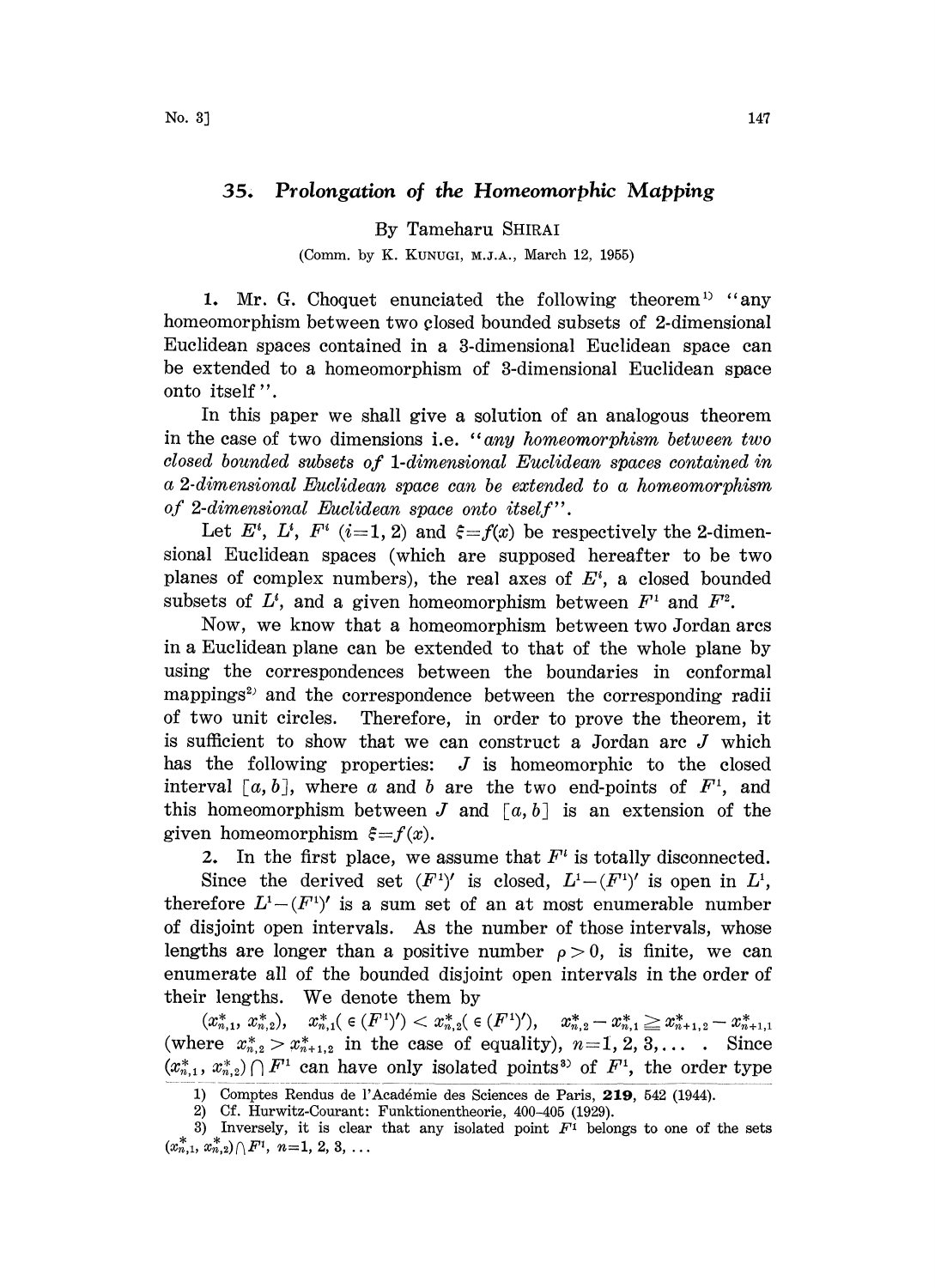## 35. Prolongation of the Homeomorphic Mapping

By Tameharu SHIRAI

(Comm. by K. KUNUGI, M.J.A., March 12, 1955)

1. Mr. G. Choquet enunciated the following theorem  $(1)$  "any homeomorphism between two closed bounded subsets of 2-dimensional Euclidean spaces contained in a 3-dimensional Euclidean space can be extended to a homeomorphism of 3-dimensional Euclidean space onto itself".

In this paper we shall give a solution of an analogous theorem in the case of two dimensions i.e. "any homeomorphism between two closed bounded subsets of 1-dimensional Euclidean spaces contained in a 2-dimensional Euclidean space can be extended to a homeomorphism of 2-dimensional Euclidean space onto itself".

Let  $E^i$ ,  $L^i$ ,  $F^i$  (i=1, 2) and  $\xi = f(x)$  be respectively the 2-dimensional Euclidean spaces (which are supposed hereafter to be two planes of complex numbers), the real axes of  $E<sup>i</sup>$ , a closed bounded subsets of  $L^i$ , and a given homeomorphism between  $F^i$  and  $F^i$ .

Now, we know that a homeomorphism between two Jordan arcs in a Euclidean plane can be extended to that of the whole plane by using the correspondences between the boundaries in conformal mappings<sup>2)</sup> and the correspondence between the corresponding radii of two unit circles. Therefore, in order to prove the theorem, it is sufficient to show that we can construct a Jordan arc J which has the following properties:  $J$  is homeomorphic to the closed interval [a, b], where a and b are the two end-points of  $F<sup>1</sup>$ , and this homeomorphism between J and  $[a, b]$  is an extension of the given homeomorphism  $\xi = f(x)$ .

2. In the first place, we assume that  $F^i$  is totally disconnected.

Since the derived set  $(F')'$  is closed,  $L^1-(F')'$  is open in  $L^1$ , therefore  $L^1-(F^1)'$  is a sum set of an at most enumerable number of disjoint open intervals. As the number of those intervals, whose lengths are longer than a positive number  $\rho > 0$ , is finite, we can enumerate all of the bounded disjoint open intervals in the order of their lengths. We denote them by

 $(x^*_{n,1}, x^*_{n,2}), \quad x^*_{n,1}(\in (F^1)') < x^*_{n,2}(\in (F^1')), \quad x^*_{n,2}-x^*_{n,1} \geqq x^*_{n+1,2}-x^*_{n+1,1}$ (where  $x_{n,2}^* > x_{n+1,2}^*$  in the case of equality),  $n=1, 2, 3, \ldots$  Since  $(x_{n,1}^*, x_{n,2}^*) \cap F^1$  can have only isolated points<sup>3</sup> of  $F^1$ , the order type

<sup>1)</sup> Comptes Rendus de l'Académie des Sciences de Paris, 219, 542 (1944).

<sup>2)</sup> Cf. Hurwitz-Courant: Funktionentheorie, 400-405 (1929).

<sup>3)</sup> Inversely, it is clear that any isolated point  $F^1$  belongs to one of the sets  $(x_{n,1}^*, x_{n,2}^*) \cap F^1$ ,  $n=1, 2, 3, \ldots$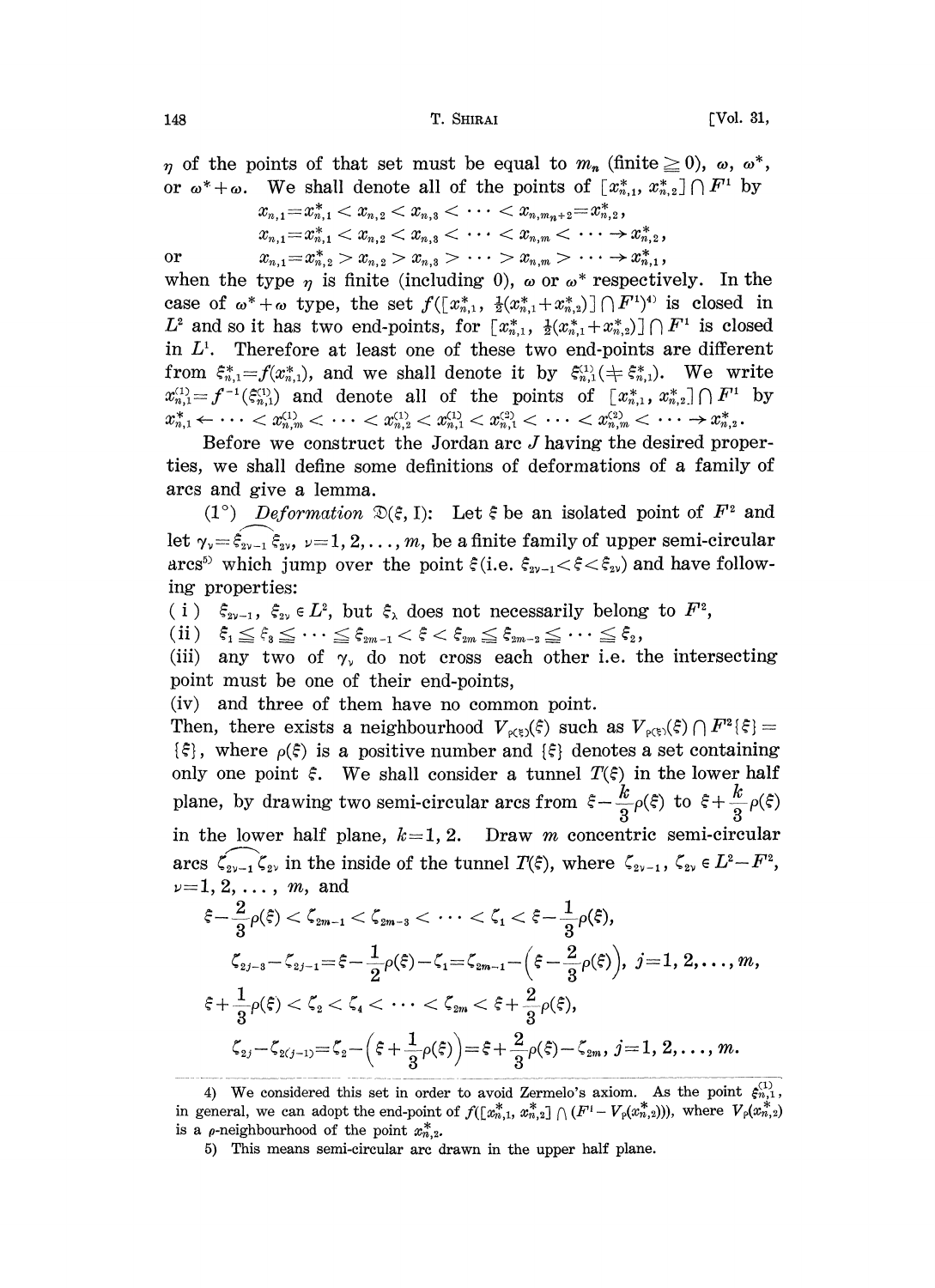148 T. SHIRAI [Vol. 31,

 $\eta$  of the points of that set must be equal to  $m_n$  (finite  $\geq 0$ ),  $\omega$ ,  $\omega^*$ , or  $\omega^* + \omega$ . We shall denote all of the points of  $[x^*_{n,1}, x^*_{n,2}] \cap F^1$  by

$$
x_{n,1} = x_{n,1}^* < x_{n,2} < x_{n,3} < \cdots < x_{n,m_n+2} = x_{n,2}^*
$$
  
\n
$$
x_{n,1} = x_{n,1}^* < x_{n,2} < x_{n,3} < \cdots < x_{n,m} < \cdots > x_{n,2}^*
$$
  
\n
$$
x_{n,1} = x_{n,2}^* > x_{n,2} > x_{n,3} > \cdots > x_{n,m} > \cdots \rightarrow x_{n,1}^*
$$

when the type  $\eta$  is finite (including 0),  $\omega$  or  $\omega^*$  respectively. In the case of  $\omega^* + \omega$  type, the set  $f([x_{n,1}^*, \frac{1}{2}(x_{n,1}^* + x_{n,2}^*)] \cap F^{(1)})$  is closed in  $L^2$  and so it has two end-points, for  $[x_{n,1}^*, \frac{1}{2}(x_{n,1}^*+x_{n,2}^*)] \cap F^1$  is closed in  $L<sup>1</sup>$ . Therefore at least one of these two end-points are different from  $\xi_{n,1}^* = f(x_{n,1}^*)$ , and we shall denote it by  $\xi_{n,1}^{(1)}(\pm \xi_{n,1}^*)$ . We write  $x_{n,1}^{(1)} = f^{-1}(\xi_{n,1}^{(1)})$  and denote all of the points of  $[x_{n,1}^*, x_{n,2}^*] \cap F^1$  by  $x_{n,1}^* \leftarrow \cdots < x_{n,m}^{(1)} < \cdots < x_{n,2}^{(1)} < x_{n,1}^{(1)} < x_{n,1}^{(2)} < \cdots < x_{n,m}^{(2)} < \cdots \rightarrow x_{n,2}^*.$ 

Before we construct the Jordan arc  $J$  having the desired properies, we shall define some definitions of deformations of a family of arcs and give a lemma.

(1°) Deformation  $\mathfrak{D}(\xi, I)$ : Let  $\xi$  be an isolated point of  $F^2$  and arcs and give<br>  $(1^{\circ})$  Defo<br>
let  $\gamma_v = \hat{\xi}_{2v-1} \hat{\xi}_{2v}$ let  $\gamma_{\nu} = \xi_{\nu-1} \xi_{\nu}$ ,  $\nu = 1, 2, ..., m$ , be a finite family of upper semi-circular arcs<sup>5)</sup> which jump over the point  $\xi$ (i.e.  $\xi_{\nu-1} < \xi < \xi_{\nu}$ ) and have follow-<br>ing preperties: ing properties:

(i)  $\xi_{2\nu-1}$ ,  $\xi_{2\nu} \in L^2$ , but  $\xi_{\lambda}$  does not necessarily belong to  $F^2$ ,<br>(ii)  $\xi_1 \leq \xi_3 \leq \cdots \leq \xi_{2m-1} < \xi < \xi_{2m} \leq \xi_{2m-2} \leq \cdots \leq \xi_2$ ,

(iii) any two of  $\gamma_{\nu}$  do not cross each other i.e. the intersecting point must be one of their end-points,

(iv) and three of them have no common point.

Then, there exists a neighbourhood  $V_{\rho(\xi)}(\xi)$  such as  $V_{\rho(\xi)}(\xi) \cap F^2(\xi) =$  $\{\xi\}$ , where  $\rho(\xi)$  is a positive number and  $\{\xi\}$  denotes a set containing only one point  $\xi$ . We shall consider a tunnel  $T(\xi)$  in the lower half plane, by drawing two semi-circular arcs from  $\xi - \frac{k}{3}\rho(\xi)$ <br>in the lower half plane,  $k=1, 2$ . Draw *m* concentric<br>arcs  $\zeta_{2\nu-1}\zeta_{2\nu}$  in the inside of the tunnel  $T(\xi)$ , where  $\zeta_{2\nu-1}$ , in the lower half plane,  $k=1, 2$ . Draw m concentric semi-circular arcs  $\zeta_{2\nu-1}\zeta_{2\nu}$  in the inside of the tunnel  $T(\xi)$ , where  $\zeta_{2\nu-1}$ ,  $\zeta_{2\nu} \in L^2 - F^2$ ,  $\nu=1,2,\ldots, m,$  and

$$
\begin{aligned} \xi - \frac{2}{3}\rho(\xi) &< \zeta_{2m-1} < \zeta_{2m-3} < \cdots < \zeta_1 < \xi - \frac{1}{3}\rho(\xi), \\ \zeta_{2j-3} - \zeta_{2j-1} &= \xi - \frac{1}{2}\rho(\xi) - \zeta_1 = \zeta_{2m-1} - \left(\xi - \frac{2}{3}\rho(\xi)\right), \ j = 1, \ 2, \ldots, m, \\ \xi + \frac{1}{3}\rho(\xi) &< \zeta_2 < \zeta_4 < \cdots < \zeta_{2m} < \xi + \frac{2}{3}\rho(\xi), \\ \zeta_{2j} - \zeta_{2(j-1)} &= \zeta_2 - \left(\xi + \frac{1}{3}\rho(\xi)\right) = \xi + \frac{2}{3}\rho(\xi) - \zeta_{2m}, \ j = 1, \ 2, \ldots, m. \end{aligned}
$$

4) We considered this set in order to avoid Zermelo's axiom. As the point  $\xi_{n,1}^{(1)}$ , in general, we can adopt the end-point of  $f((x_n^*,), x_{n,2}^*) \cap (F^1 - V_p(x_n^*,))$ , where  $V_p(x_n^*, y)$ is a  $\rho$ -neighbourhood of the point  $x_{n,2}^*$ .

or

<sup>5)</sup> This means semi-circular arc drawn in the upper half plane.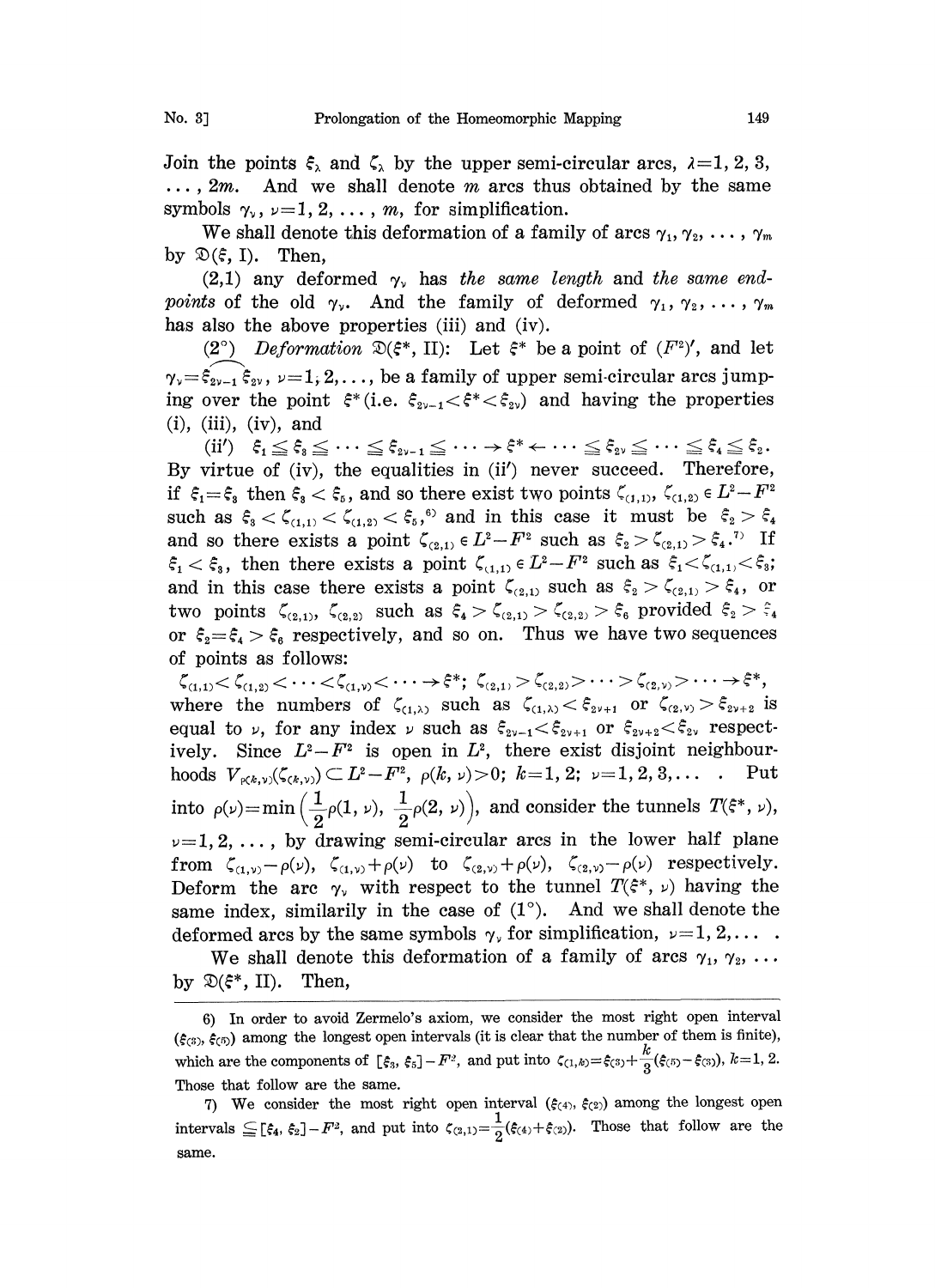Join the points  $\xi_{\lambda}$  and  $\zeta_{\lambda}$  by the upper semi-circular arcs,  $\lambda = 1, 2, 3$ ,  $\ldots$ , 2*m*. And we shall denote *m* arcs thus obtained by the same symbols  $\gamma_{\nu}$ ,  $\nu=1, 2, ..., m$ , for simplification.

We shall denote this deformation of a family of arcs  $\gamma_1, \gamma_2, \ldots, \gamma_m$ by  $\mathfrak{D}(\xi, I)$ . Then,

 $(2,1)$  any deformed  $\gamma_{\nu}$  has the same length and the same endpoints of the old  $\gamma_{\nu}$ . And the family of deformed  $\gamma_1, \gamma_2, \ldots, \gamma_m$ has also the above properties (iii) and (iv).

(2°) Deformation  $\mathfrak{D}(\xi^*, \Pi)$ : Let  $\xi^*$  be a point of  $(F^2)'$ , and let  $\gamma_{\nu}=\xi_{2\nu-1}\xi_{2\nu},\ \nu=1,2,\ldots$ , be a family of upper semi-circular arcs jumping over the point  $\xi^*$  (i.e.  $\xi_{2\nu-1} < \xi^* < \xi_{2\nu}$ ) and having the properties  $(i)$ ,  $(iii)$ ,  $(iv)$ , and

By virtue of (iv), the equalities in (ii') never succeed. Therefore, (ii')  $\xi_1 \leq \xi_3 \leq \cdots \leq \xi_{2v-1} \leq \cdots \to \xi^* \leftarrow \cdots \leq \xi_{2v} \leq \cdots \leq \xi_4 \leq \xi_2$ .<br>By virtue of (iv), the equalities in (ii') never succeed. Therefore, if  $\xi_1 = \xi_3$  then  $\xi_3 < \xi_5$ , and so there exist two points  $\zeta$ if  $\xi_1 = \xi_3$  then  $\xi_3 < \xi_5$ , and so there exist two points  $\xi_{(1,1)}, \xi_{(1,2)} \in L^2 - F$ <br>such as  $\xi_3 < \xi_{(1,1)} < \xi_{(1,2)} < \xi_5$ ,<sup>6</sup> and in this case it must be  $\xi_2 > \xi$ <br>and so there exists a point  $\xi = L^2 - F^2$  such as  $\xi$ and so there exists a point  $\zeta_{(2,1)} \in L^2 - F^2$  such as  $\xi_2 > \zeta_{(2,1)} > \xi_4$ .<sup>7)</sup> If  $\xi_1 < \xi_3$ , then there exists a point  $\zeta_{(1,1)} \in L^2 - F^2$  such as  $\xi_1 < \zeta_{(1,1)} < \xi_3$ ; and in this case there exists a point  $\zeta_{(2,1)}$  such as  $\xi_2 > \zeta_{(2,1)} > \xi_4$ , or two points  $\zeta_{(2,1)}, \zeta_{(2,2)}$  such as  $\xi_4 > \zeta_{(2,1)} > \zeta_{(2,2)} > \xi_6$  provided  $\xi_2 > \xi_4$ or  $\xi_2 = \xi_4 > \xi_6$  respectively, and so on. Thus we have two sequences of points as follows:

 $\zeta_{(1,1)} < \zeta_{(1,2)} < \cdots < \zeta_{(1,\nu)} < \cdots \to \xi^*; \ \zeta_{(2,1)} > \zeta_{(2,2)} > \cdots > \zeta_{(2,\nu)} > \cdots \to \xi^*,$ <br>where the numbers of  $\zeta_{(1,\lambda)}$  such as  $\zeta_{(1,\lambda)} < \xi_{2\nu+1}$  or  $\zeta_{(2,\nu)} > \xi_{2\nu+2}$  is equal to  $\nu$ , for any index  $\nu$  such as  $\xi_{2\nu-1} < \xi_{2\nu+1}$  or  $\xi_{2\nu+2} < \xi_{2\nu}$  respectively. Since  $L^2 - F^2$  is open in  $L^2$ , there exist disjoint neighbourhoods  $V_{\rho(k,\nu)}(\zeta_{(k,\nu)}) \subset L^2 - F^2$ ,  $\rho(k,\nu) > 0$ ;  $k=1, 2; \nu=1, 2, 3, \ldots$  Put into  $\rho(\nu) = \min\left(\frac{1}{2}\rho(1, \nu), \frac{1}{2}\rho(2, \nu)\right)$ , and consider the tunnels  $T(\xi^*, \nu)$ ,  $\nu=1, 2, \ldots$ , by drawing semi-circular arcs in the lower half plane from  $\zeta_{(1,\nu)}-\rho(\nu)$ ,  $\zeta_{(1,\nu)}+\rho(\nu)$  to  $\zeta_{(2,\nu)}+\rho(\nu)$ ,  $\zeta_{(2,\nu)}-\rho(\nu)$  respectively. Deform the arc  $\gamma_{\nu}$  with respect to the tunnel  $T(\xi^*, \nu)$  having the same index, similarily in the case of  $(1^{\circ})$ . And we shall denote the deformed arcs by the same symbols  $\gamma_{\nu}$  for simplification,  $\nu=1, 2, \ldots$ .

We shall denote this deformation of a family of arcs  $\gamma_1, \gamma_2, \ldots$ by  $\mathfrak{D}(\mathfrak{F}^*, \, \Pi)$ . Then,

6) In order to avoid Zermelo's axiom, we consider the most right open interval  $(\xi_{(3)}, \xi_{(5)})$  among the longest open intervals (it is clear that the number of them is finite), which are the components of  $[\xi_3, \xi_5] - F^2$ , and put into  $\zeta_{(1,k)} = \xi_{(3)} + \frac{k}{3}(\xi_{(5)} - \xi_{(3)}), k=1, 2$ . Those that follow are the same.

7) We consider the most right open interval  $(\xi(4), \xi(2))$  among the longest open intervals  $\subseteq$  [ $\xi_4$ ,  $\xi_2$ ]- $F^2$ , and put into  $\zeta_{(2,1)}=\frac{1}{2}(\xi_{(4)}+\xi_{(2)})$ . Those that follow are the same.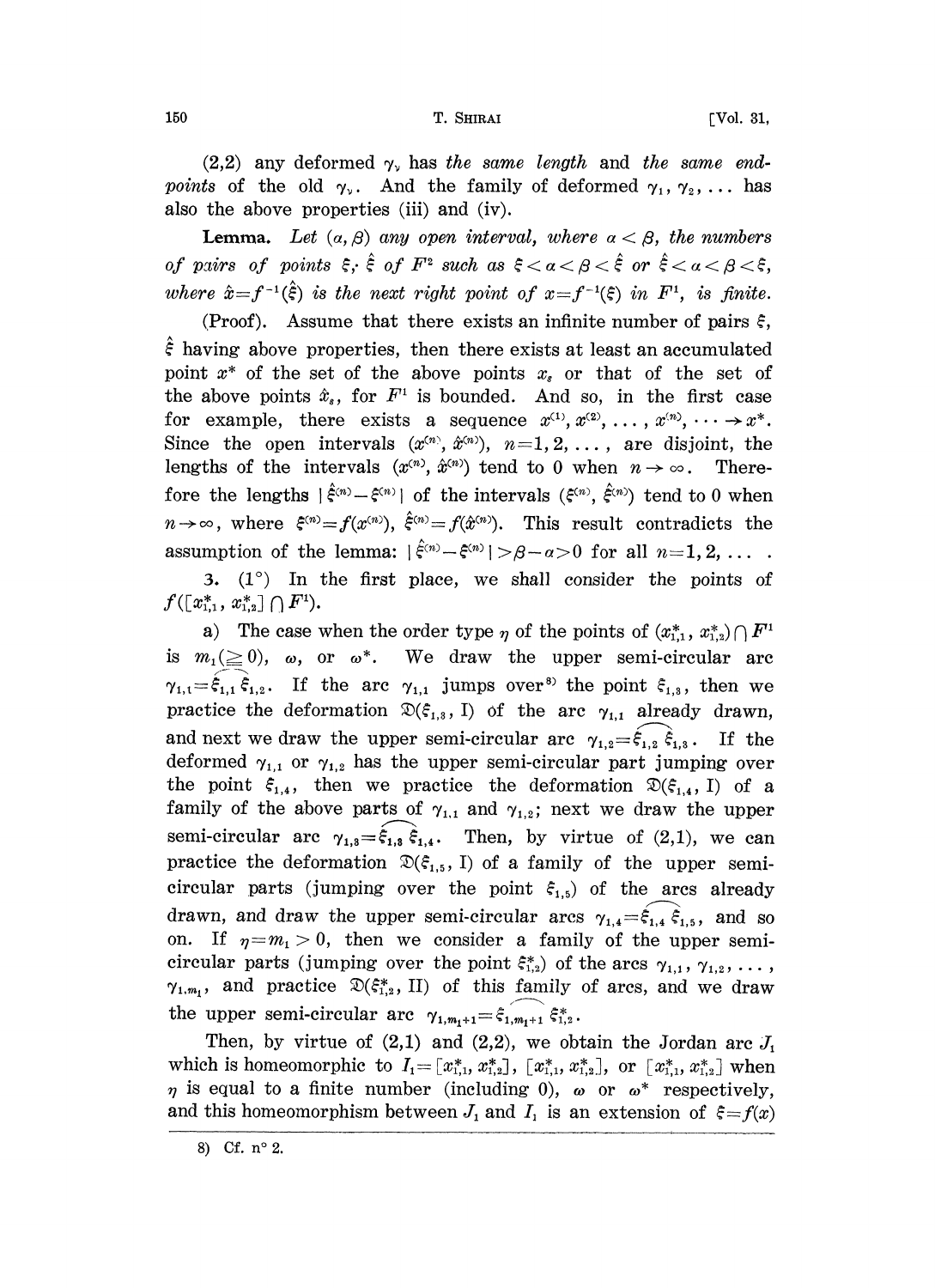$(2,2)$  any deformed  $\gamma_{\nu}$  has the same length and the same endpoints of the old  $\gamma_{\nu}$ . And the family of deformed  $\gamma_1, \gamma_2, \ldots$  has also the above properties (iii) and (iv).

**Lemma.** Let  $(a, \beta)$  any open interval, where  $a < \beta$ , the numbers of pairs of points  $\xi$ ,  $\hat{\xi}$  of  $F^2$  such as  $\xi < \alpha < \beta < \hat{\xi}$  or  $\hat{\xi} < \alpha < \beta < \xi$ , where  $\hat{x} = f^{-1}(\hat{\xi})$  is the next right point of  $x = f^{-1}(\xi)$  in  $F^1$ , is finite.

(Proof). Assume that there exists an infinite number of pairs  $\xi$ ,  $\hat{\epsilon}$  having above properties, then there exists at least an accumulated point  $x^*$  of the set of the above points  $x_s$  or that of the set of the above points  $\hat{x}_s$ , for  $F^1$  is bounded. And so, in the first case for example, there exists a sequence  $x^{(1)}, x^{(2)}, \ldots, x^{(n)}, \ldots \rightarrow x^*$ . For example, there exists a sequence  $x^{\ldots}, x^{\ldots}, \ldots, x^{\ldots}, \ldots \rightarrow x^{\ldots}$ .<br>Since the open intervals  $(x^{\langle n \rangle}, \hat{x}^{\langle n \rangle}), n=1,2,\ldots,$  are disjoint, the Since the open intervals  $(x^{(n)}, \hat{x}^{(n)})$ ,  $n=1, 2, \ldots$ , are disjoint, the lengths of the intervals  $(x^{(n)}, \hat{x}^{(n)})$  tend to 0 when  $n \rightarrow \infty$ . Therelengths of the intervals  $(x^{(n)}, \hat{x}^{(n)})$  tend to 0 when  $n \to \infty$ . There-<br>fore the lengths  $|\hat{\xi}^{(n)} - \xi^{(n)}|$  of the intervals  $(\xi^{(n)}, \hat{\xi}^{(n)})$  tend to 0 when fore the lengths  $\left[\xi^{(n)} - \xi^{(n)}\right]$  of the intervals  $(\xi^{(n)}, \xi^{(n)})$  tend to 0 when  $n \to \infty$ , where  $\xi^{(n)} = f(x^{(n)})$ ,  $\hat{\xi}^{(n)} = f(\hat{x}^{(n)})$ . This result contradicts the assumption of the lemma:  $\left[\hat{\xi}^{(n)} - \xi^{(n)}\right] > \beta - \$ assumption of the lemma:  $|\hat{\xi}^{(n)} - \xi^{(n)}| > \beta - a > 0$  for all  $n = 1, 2, \ldots$ .

3.  $(1^{\circ})$  In the first place, we shall consider the points of  $f([x_{1,1}^*, x_{1,2}^*] \cap F^1).$ 

a) The case when the order type  $\eta$  of the points of  $(x_{1,1}^*, x_{1,2}^*) \cap F^1$ is  $m_1(\geq 0)$ ,  $\omega$ , or  $\omega^*$ . We draw the upper semi-circular are  $\gamma_{1,1}=\xi_{1,1} \xi_{1,2}$ . If the arc  $\gamma_{1,1}$  jumps over<sup>8)</sup> the point  $\xi_{1,3}$ , then we practice the deformation  $\mathfrak{D}(\xi_{1,3}, I)$  of the arc  $\gamma_{1,1}$  already drawn, and next we draw the upper semi-circular arc  $\gamma_{1,2} = \xi_{1,2} \, \dot{\xi}_{1,3}$ . If the deformed  $\gamma_{1,1}$  or  $\gamma_{1,2}$  has the upper semi-circular part jumping over the point  $\xi_{1,4}$ , then we practice the deformation  $\mathfrak{D}(\xi_{1,4}, I)$  of a family of the above parts of  $\gamma_{1,1}$  and  $\gamma_{1,2}$ ; next we draw the upper semi-circular arc  $\gamma_{1,3} = \hat{\xi}_{1,3} \hat{\xi}_{1,4}$ . Then, by virtue of (2,1), we can practice the deformation  $\mathfrak{D}(\xi_{1,5}, I)$  of a family of the upper semicircular parts (jumping over the point  $\xi_{1,5}$ ) of the arcs already drawn, and draw the upper semi-circular arcs  $\gamma_{1,4} = \hat{\xi}_{1,4} \hat{\xi}_{1,5}$ , and so on. If  $\eta = m_1 > 0$ , then we consider a family of the upper semicircular parts (jumping over the point  $\xi_{1,2}^*$ ) of the arcs  $\gamma_{1,1}, \gamma_{1,2}, \ldots$ ,  $\gamma_{1,m_1}$ , and practice  $\mathfrak{D}(\xi_{1,2}^*$ , II) of this family of arcs, and we draw  $\gamma_{1,m_1}$ , and practice  $\mathcal{L}(\varsigma_{1,2}^2, 11)$  or this family<br>the upper semi-circular arc  $\gamma_{1,m_1+1} = \hat{\varsigma}_{1,m_1+1} \hat{\varsigma}_{1,2}^*$ .

Then, by virtue of  $(2,1)$  and  $(2,2)$ , we obtain the Jordan arc  $J_1$ which is homeomorphic to  $I_1 = [x_{1,1}^*, x_{1,2}^*], [x_{1,1}^*, x_{1,2}^*],$  or  $[x_{1,1}^*, x_{1,2}^*]$  when is equal to a finite number (including 0),  $\omega$  or  $\omega^*$  respectively,<br>d this homeomorphism between *L* and *L* is an extension of  $\zeta$ ,  $f(x)$ and this homeomorphism between  $J_1$  and  $I_1$  is an extension of  $\xi = f(x)$ 

<sup>8)</sup> Cf.  $n^{\circ} 2$ .